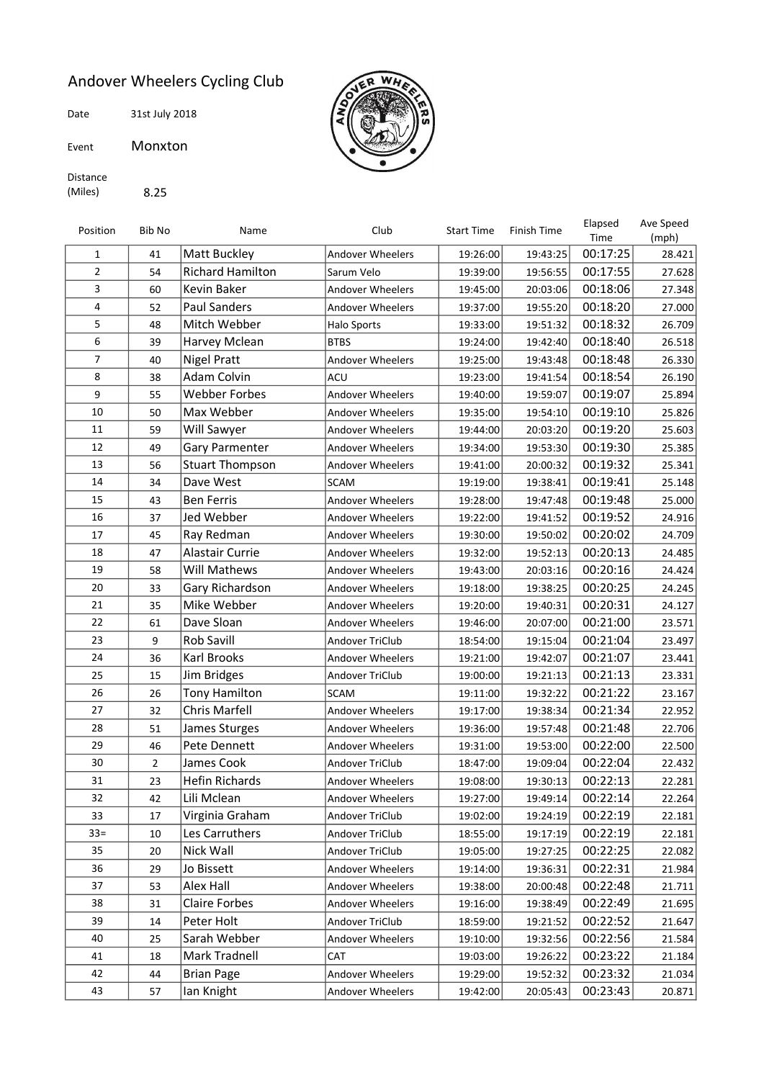## Andover Wheelers Cycling Club

Date 31st July 2018

Event Monxton



Distance (Miles) 8.25

| Position       | Bib No         | Name                    | Club                    | <b>Start Time</b> | <b>Finish Time</b> | Elapsed<br>Time | Ave Speed<br>(mph) |
|----------------|----------------|-------------------------|-------------------------|-------------------|--------------------|-----------------|--------------------|
| 1              | 41             | Matt Buckley            | <b>Andover Wheelers</b> | 19:26:00          | 19:43:25           | 00:17:25        | 28.421             |
| $\overline{2}$ | 54             | <b>Richard Hamilton</b> | Sarum Velo              | 19:39:00          | 19:56:55           | 00:17:55        | 27.628             |
| 3              | 60             | Kevin Baker             | <b>Andover Wheelers</b> | 19:45:00          | 20:03:06           | 00:18:06        | 27.348             |
| 4              | 52             | <b>Paul Sanders</b>     | <b>Andover Wheelers</b> | 19:37:00          | 19:55:20           | 00:18:20        | 27.000             |
| 5              | 48             | Mitch Webber            | Halo Sports             | 19:33:00          | 19:51:32           | 00:18:32        | 26.709             |
| 6              | 39             | Harvey Mclean           | <b>BTBS</b>             | 19:24:00          | 19:42:40           | 00:18:40        | 26.518             |
| 7              | 40             | <b>Nigel Pratt</b>      | <b>Andover Wheelers</b> | 19:25:00          | 19:43:48           | 00:18:48        | 26.330             |
| 8              | 38             | Adam Colvin             | ACU                     | 19:23:00          | 19:41:54           | 00:18:54        | 26.190             |
| 9              | 55             | Webber Forbes           | <b>Andover Wheelers</b> | 19:40:00          | 19:59:07           | 00:19:07        | 25.894             |
| 10             | 50             | Max Webber              | <b>Andover Wheelers</b> | 19:35:00          | 19:54:10           | 00:19:10        | 25.826             |
| 11             | 59             | Will Sawyer             | <b>Andover Wheelers</b> | 19:44:00          | 20:03:20           | 00:19:20        | 25.603             |
| 12             | 49             | Gary Parmenter          | <b>Andover Wheelers</b> | 19:34:00          | 19:53:30           | 00:19:30        | 25.385             |
| 13             | 56             | <b>Stuart Thompson</b>  | <b>Andover Wheelers</b> | 19:41:00          | 20:00:32           | 00:19:32        | 25.341             |
| 14             | 34             | Dave West               | <b>SCAM</b>             | 19:19:00          | 19:38:41           | 00:19:41        | 25.148             |
| 15             | 43             | <b>Ben Ferris</b>       | <b>Andover Wheelers</b> | 19:28:00          | 19:47:48           | 00:19:48        | 25.000             |
| 16             | 37             | Jed Webber              | <b>Andover Wheelers</b> | 19:22:00          | 19:41:52           | 00:19:52        | 24.916             |
| 17             | 45             | Ray Redman              | <b>Andover Wheelers</b> | 19:30:00          | 19:50:02           | 00:20:02        | 24.709             |
| 18             | 47             | Alastair Currie         | <b>Andover Wheelers</b> | 19:32:00          | 19:52:13           | 00:20:13        | 24.485             |
| 19             | 58             | Will Mathews            | <b>Andover Wheelers</b> | 19:43:00          | 20:03:16           | 00:20:16        | 24.424             |
| 20             | 33             | Gary Richardson         | <b>Andover Wheelers</b> | 19:18:00          | 19:38:25           | 00:20:25        | 24.245             |
| 21             | 35             | Mike Webber             | Andover Wheelers        | 19:20:00          | 19:40:31           | 00:20:31        | 24.127             |
| 22             | 61             | Dave Sloan              | <b>Andover Wheelers</b> | 19:46:00          | 20:07:00           | 00:21:00        | 23.571             |
| 23             | 9              | Rob Savill              | Andover TriClub         | 18:54:00          | 19:15:04           | 00:21:04        | 23.497             |
| 24             | 36             | Karl Brooks             | <b>Andover Wheelers</b> | 19:21:00          | 19:42:07           | 00:21:07        | 23.441             |
| 25             | 15             | Jim Bridges             | Andover TriClub         | 19:00:00          | 19:21:13           | 00:21:13        | 23.331             |
| 26             | 26             | Tony Hamilton           | <b>SCAM</b>             | 19:11:00          | 19:32:22           | 00:21:22        | 23.167             |
| 27             | 32             | Chris Marfell           | Andover Wheelers        | 19:17:00          | 19:38:34           | 00:21:34        | 22.952             |
| 28             | 51             | James Sturges           | <b>Andover Wheelers</b> | 19:36:00          | 19:57:48           | 00:21:48        | 22.706             |
| 29             | 46             | Pete Dennett            | Andover Wheelers        | 19:31:00          | 19:53:00           | 00:22:00        | 22.500             |
| 30             | $\overline{2}$ | James Cook              | Andover TriClub         | 18:47:00          | 19:09:04           | 00:22:04        | 22.432             |
| 31             | 23             | Hefin Richards          | <b>Andover Wheelers</b> | 19:08:00          | 19:30:13           | 00:22:13        | 22.281             |
| 32             | 42             | Lili Mclean             | Andover Wheelers        | 19:27:00          | 19:49:14           | 00:22:14        | 22.264             |
| 33             | 17             | Virginia Graham         | Andover TriClub         | 19:02:00          | 19:24:19           | 00:22:19        | 22.181             |
| $33 =$         | 10             | Les Carruthers          | Andover TriClub         | 18:55:00          | 19:17:19           | 00:22:19        | 22.181             |
| 35             | 20             | Nick Wall               | Andover TriClub         | 19:05:00          | 19:27:25           | 00:22:25        | 22.082             |
| 36             | 29             | Jo Bissett              | <b>Andover Wheelers</b> | 19:14:00          | 19:36:31           | 00:22:31        | 21.984             |
| 37             | 53             | Alex Hall               | <b>Andover Wheelers</b> | 19:38:00          | 20:00:48           | 00:22:48        | 21.711             |
| 38             | 31             | <b>Claire Forbes</b>    | Andover Wheelers        | 19:16:00          | 19:38:49           | 00:22:49        | 21.695             |
| 39             | 14             | Peter Holt              | Andover TriClub         | 18:59:00          | 19:21:52           | 00:22:52        | 21.647             |
| 40             | 25             | Sarah Webber            | Andover Wheelers        | 19:10:00          | 19:32:56           | 00:22:56        | 21.584             |
| 41             | 18             | Mark Tradnell           | CAT                     | 19:03:00          | 19:26:22           | 00:23:22        | 21.184             |
| 42             | 44             | <b>Brian Page</b>       | Andover Wheelers        | 19:29:00          | 19:52:32           | 00:23:32        | 21.034             |
| 43             | 57             | Ian Knight              | Andover Wheelers        | 19:42:00          | 20:05:43           | 00:23:43        | 20.871             |